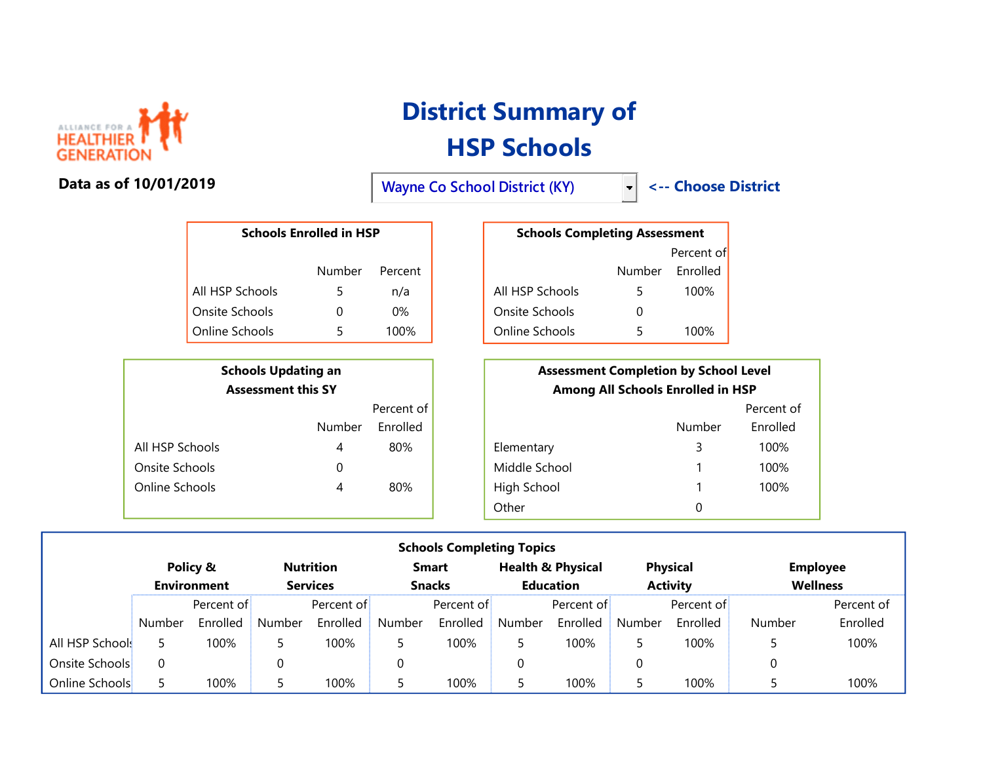

## Data as of 10/01/2019

## District Summary of HSP Schools

Wayne Co School District (KY)  $\left| \begin{array}{c} \left| \left| \right| \right| \right| \right| \left| \left| \right| \right| \right|$  <-- Choose District

|                 | <b>Schools Enrolled in HSP</b> |         | <b>Schools Completing Assessment</b> |        |           |
|-----------------|--------------------------------|---------|--------------------------------------|--------|-----------|
|                 |                                |         |                                      |        | Percent o |
|                 | Number                         | Percent |                                      | Number | Enrolled  |
| All HSP Schools |                                | n/a     | All HSP Schools                      |        | 100%      |
| Onsite Schools  |                                | 0%      | Onsite Schools                       |        |           |
| Online Schools  |                                | 100%    | Online Schools                       |        | 100%      |

| <b>Schools Updating an</b><br><b>Assessment this SY</b> |        |            |  |  |  |
|---------------------------------------------------------|--------|------------|--|--|--|
|                                                         |        | Percent of |  |  |  |
|                                                         | Number | Fnrolled   |  |  |  |
| All HSP Schools                                         | 4      | 80%        |  |  |  |
| Onsite Schools                                          | 0      |            |  |  |  |
| Online Schools                                          | 4      | 80%        |  |  |  |

| Schools Enrolled in HSP |        |         | <b>Schools Completing Assessment</b> |        |                  |
|-------------------------|--------|---------|--------------------------------------|--------|------------------|
|                         |        |         |                                      |        | Percent of       |
|                         | Number | Percent |                                      | Number | <b>F</b> nrolled |
| chools                  |        | n/a     | All HSP Schools                      |        | 100%             |
| hools:                  |        | 0%      | Onsite Schools                       |        |                  |
| :hools                  |        | 100%    | Online Schools                       |        | 100%             |

|                 | <b>Schools Updating an</b><br><b>Assessment this SY</b> |          |            |               | <b>Assessment Completion by School Level</b><br>Among All Schools Enrolled in HSP |            |  |  |
|-----------------|---------------------------------------------------------|----------|------------|---------------|-----------------------------------------------------------------------------------|------------|--|--|
|                 | Percent of                                              |          |            |               |                                                                                   | Percent of |  |  |
|                 | Number                                                  | Enrolled |            |               | <b>Number</b>                                                                     | Enrolled   |  |  |
| All HSP Schools | 4                                                       | 80%      | Elementary |               | 3                                                                                 | 100%       |  |  |
| Onsite Schools  | 0                                                       |          |            | Middle School |                                                                                   | 100%       |  |  |
| Online Schools  | 4                                                       | 80%      |            | High School   |                                                                                   | 100%       |  |  |
|                 |                                                         |          | Other      |               | 0                                                                                 |            |  |  |

| <b>Schools Completing Topics</b> |                    |            |        |                  |               |              |                  |                              |                 |                 |                 |                 |
|----------------------------------|--------------------|------------|--------|------------------|---------------|--------------|------------------|------------------------------|-----------------|-----------------|-----------------|-----------------|
|                                  |                    | Policy &   |        | <b>Nutrition</b> |               | <b>Smart</b> |                  | <b>Health &amp; Physical</b> |                 | <b>Physical</b> |                 | <b>Employee</b> |
|                                  | <b>Environment</b> |            |        | <b>Services</b>  | <b>Snacks</b> |              | <b>Education</b> |                              | <b>Activity</b> |                 | <b>Wellness</b> |                 |
|                                  |                    | Percent of |        | Percent of       |               | Percent of   |                  | Percent of                   |                 | Percent of      |                 | Percent of      |
|                                  | Number             | Enrolled   | Number | Enrolled         | Number        | Enrolled     | Number           | Enrolled                     | Number          | Enrolled        | Number          | Enrolled        |
| All HSP Schools                  |                    | 100%       |        | 100%             |               | 100%         |                  | 100%                         |                 | 100%            |                 | 100%            |
| Onsite Schools                   | 0                  |            | υ      |                  |               |              |                  |                              | 0               |                 |                 |                 |
| Online Schools                   |                    | 100%       |        | 100%             |               | 100%         |                  | 100%                         |                 | 100%            |                 | 100%            |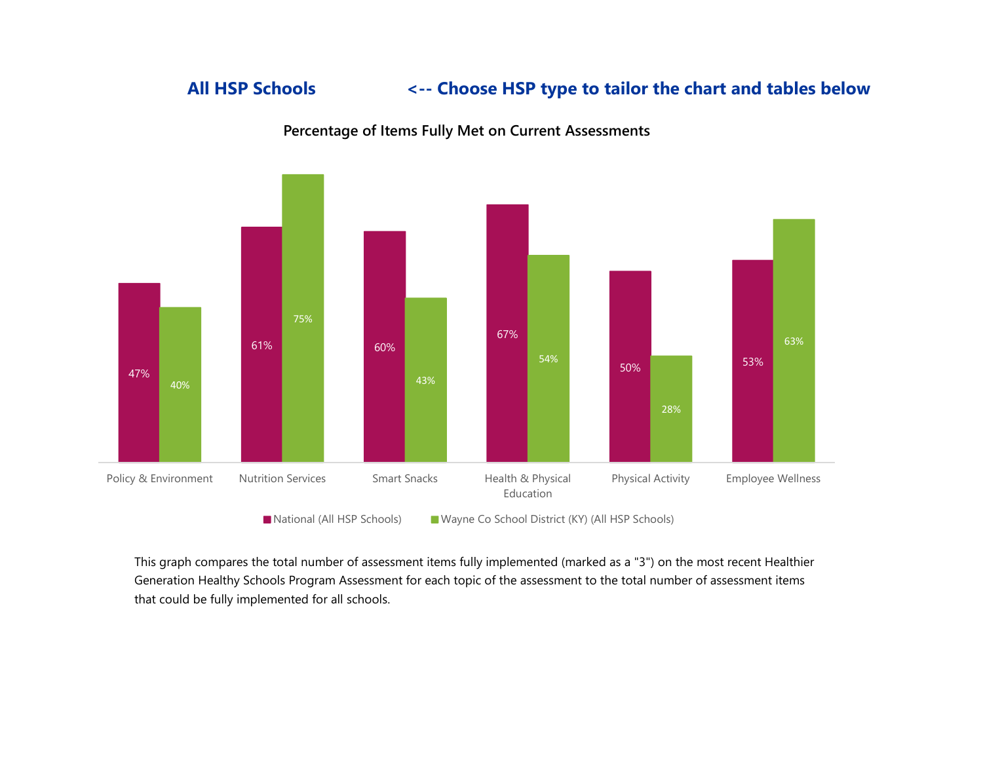## All HSP Schools <-- Choose HSP type to tailor the chart and tables below



Percentage of Items Fully Met on Current Assessments

■ National (All HSP Schools) Wayne Co School District (KY) (All HSP Schools)

This graph compares the total number of assessment items fully implemented (marked as a "3") on the most recent Healthier Generation Healthy Schools Program Assessment for each topic of the assessment to the total number of assessment items that could be fully implemented for all schools.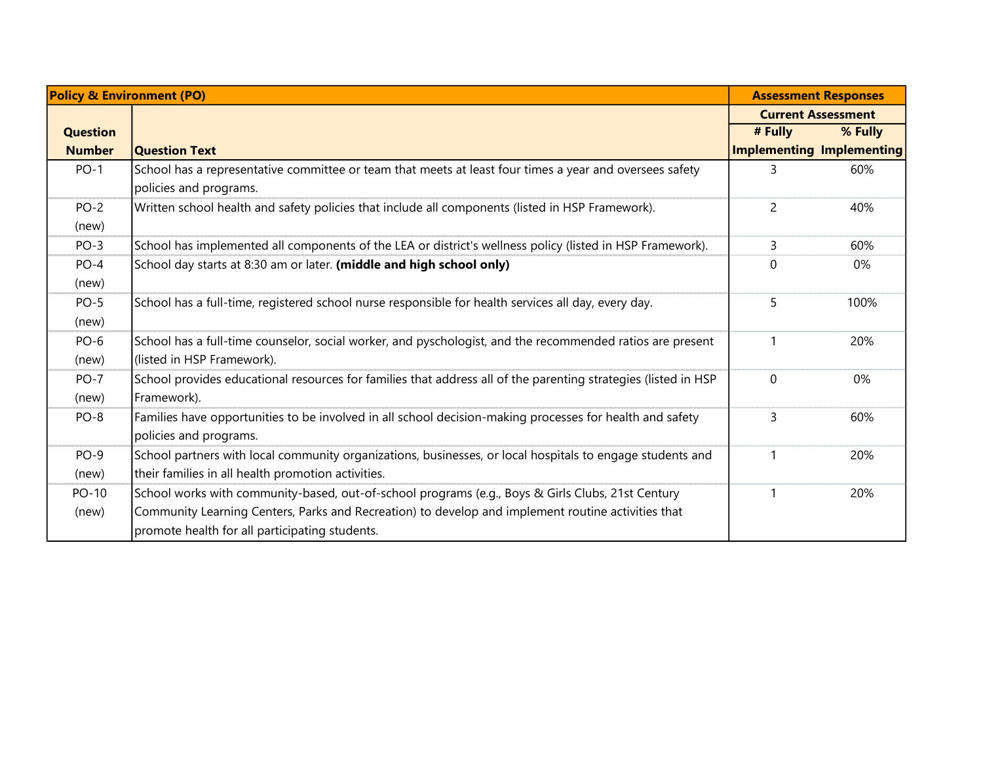|                 | <b>Policy &amp; Environment (PO)</b>                                                                                                                                                                                                                      |                           | <b>Assessment Responses</b> |
|-----------------|-----------------------------------------------------------------------------------------------------------------------------------------------------------------------------------------------------------------------------------------------------------|---------------------------|-----------------------------|
|                 |                                                                                                                                                                                                                                                           |                           | <b>Current Assessment</b>   |
| <b>Question</b> |                                                                                                                                                                                                                                                           | # Fully                   | % Fully                     |
| <b>Number</b>   | <b>Question Text</b>                                                                                                                                                                                                                                      | Implementing Implementing |                             |
| $PO-1$          | School has a representative committee or team that meets at least four times a year and oversees safety<br>policies and programs.                                                                                                                         |                           | 60%                         |
| $PO-2$<br>(new) | Written school health and safety policies that include all components (listed in HSP Framework).                                                                                                                                                          | 2                         | 40%                         |
| $PO-3$          | School has implemented all components of the LEA or district's wellness policy (listed in HSP Framework).                                                                                                                                                 | 3                         | 60%                         |
| $PO-4$<br>(new) | School day starts at 8:30 am or later. (middle and high school only)                                                                                                                                                                                      | $\Omega$                  | 0%                          |
| $PO-5$<br>(new) | School has a full-time, registered school nurse responsible for health services all day, every day.                                                                                                                                                       | 5                         | 100%                        |
| $PO-6$<br>(new) | School has a full-time counselor, social worker, and pyschologist, and the recommended ratios are present<br>(listed in HSP Framework).                                                                                                                   |                           | 20%                         |
| $PO-7$<br>(new) | School provides educational resources for families that address all of the parenting strategies (listed in HSP<br>Framework).                                                                                                                             | $\mathbf 0$               | 0%                          |
| PO-8            | Families have opportunities to be involved in all school decision-making processes for health and safety<br>policies and programs.                                                                                                                        | $\overline{3}$            | 60%                         |
| $PO-9$<br>(new) | School partners with local community organizations, businesses, or local hospitals to engage students and<br>their families in all health promotion activities.                                                                                           |                           | 20%                         |
| PO-10<br>(new)  | School works with community-based, out-of-school programs (e.g., Boys & Girls Clubs, 21st Century<br>Community Learning Centers, Parks and Recreation) to develop and implement routine activities that<br>promote health for all participating students. |                           | 20%                         |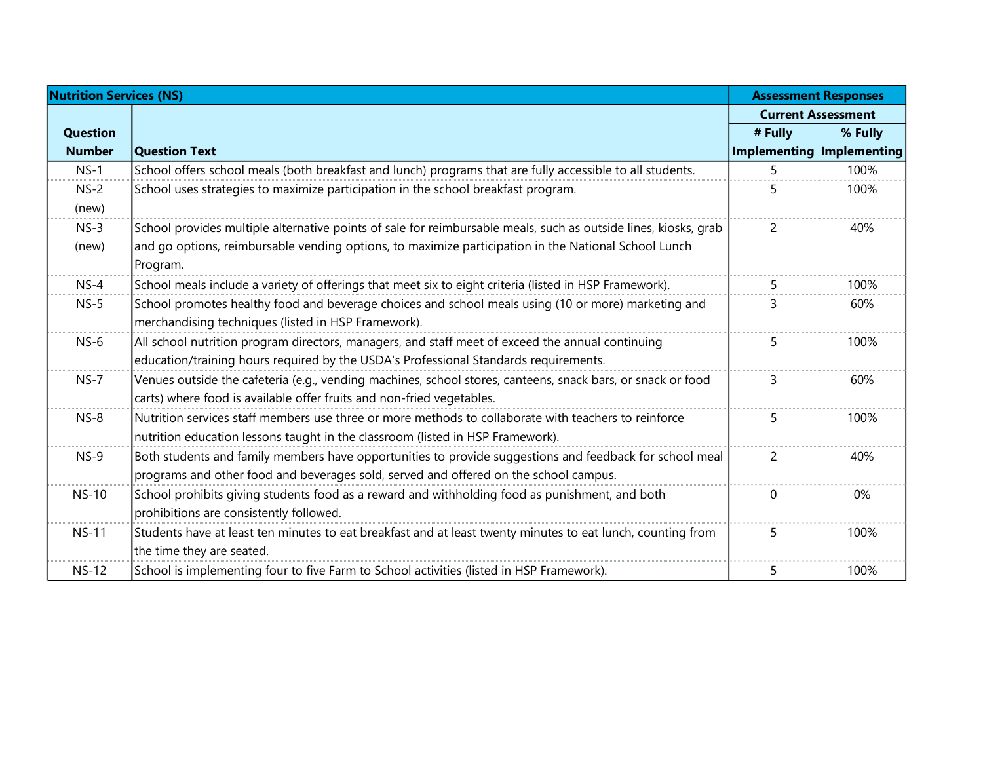| <b>Nutrition Services (NS)</b> |                                                                                                                 |                | <b>Assessment Responses</b> |
|--------------------------------|-----------------------------------------------------------------------------------------------------------------|----------------|-----------------------------|
|                                |                                                                                                                 |                | <b>Current Assessment</b>   |
| <b>Question</b>                |                                                                                                                 | # Fully        | % Fully                     |
| <b>Number</b>                  | <b>Question Text</b>                                                                                            |                | Implementing Implementing   |
| $NS-1$                         | School offers school meals (both breakfast and lunch) programs that are fully accessible to all students.       | 5              | 100%                        |
| $NS-2$                         | School uses strategies to maximize participation in the school breakfast program.                               | 5              | 100%                        |
| (new)                          |                                                                                                                 |                |                             |
| $NS-3$                         | School provides multiple alternative points of sale for reimbursable meals, such as outside lines, kiosks, grab | $\overline{2}$ | 40%                         |
| (new)                          | and go options, reimbursable vending options, to maximize participation in the National School Lunch            |                |                             |
|                                | Program.                                                                                                        |                |                             |
| $NS-4$                         | School meals include a variety of offerings that meet six to eight criteria (listed in HSP Framework).          | 5              | 100%                        |
| $NS-5$                         | School promotes healthy food and beverage choices and school meals using (10 or more) marketing and             | 3              | 60%                         |
|                                | merchandising techniques (listed in HSP Framework).                                                             |                |                             |
| $NS-6$                         | All school nutrition program directors, managers, and staff meet of exceed the annual continuing                | 5              | 100%                        |
|                                | education/training hours required by the USDA's Professional Standards requirements.                            |                |                             |
| $NS-7$                         | Venues outside the cafeteria (e.g., vending machines, school stores, canteens, snack bars, or snack or food     | 3              | 60%                         |
|                                | carts) where food is available offer fruits and non-fried vegetables.                                           |                |                             |
| $NS-8$                         | Nutrition services staff members use three or more methods to collaborate with teachers to reinforce            | 5              | 100%                        |
|                                | nutrition education lessons taught in the classroom (listed in HSP Framework).                                  |                |                             |
| $NS-9$                         | Both students and family members have opportunities to provide suggestions and feedback for school meal         | $\overline{c}$ | 40%                         |
|                                | programs and other food and beverages sold, served and offered on the school campus.                            |                |                             |
| <b>NS-10</b>                   | School prohibits giving students food as a reward and withholding food as punishment, and both                  | $\mathbf 0$    | 0%                          |
|                                | prohibitions are consistently followed.                                                                         |                |                             |
| <b>NS-11</b>                   | Students have at least ten minutes to eat breakfast and at least twenty minutes to eat lunch, counting from     | 5              | 100%                        |
|                                | the time they are seated.                                                                                       |                |                             |
| <b>NS-12</b>                   | School is implementing four to five Farm to School activities (listed in HSP Framework).                        | 5              | 100%                        |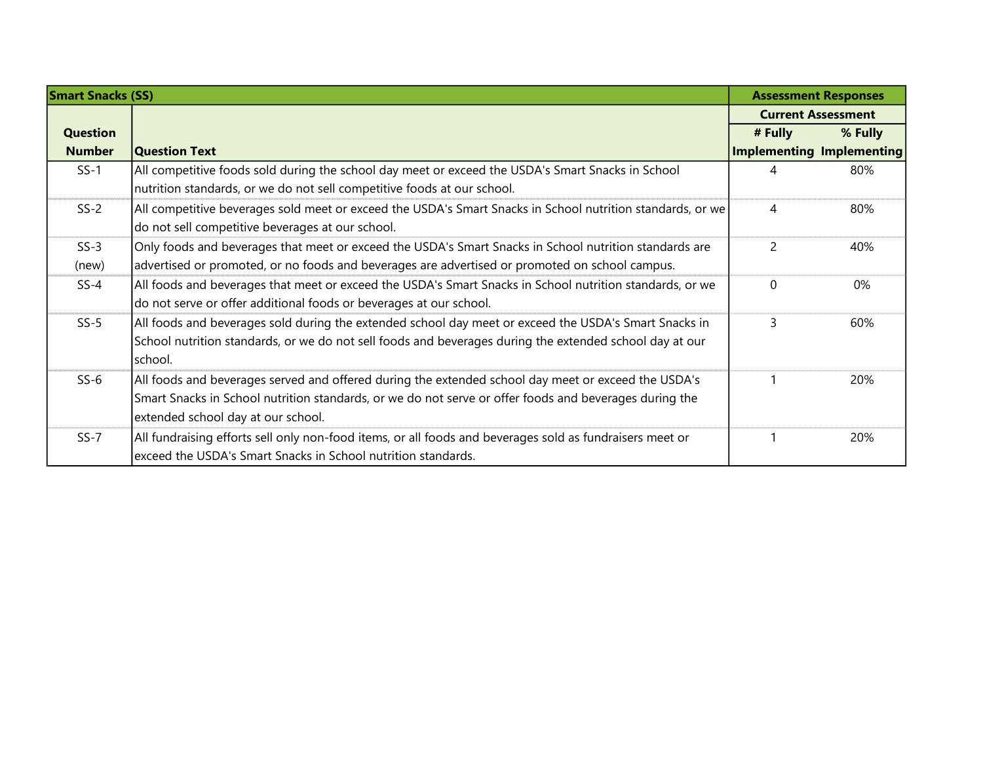| <b>Smart Snacks (SS)</b> |                                                                                                            |               | <b>Assessment Responses</b>      |
|--------------------------|------------------------------------------------------------------------------------------------------------|---------------|----------------------------------|
|                          |                                                                                                            |               | <b>Current Assessment</b>        |
| <b>Question</b>          |                                                                                                            | # Fully       | % Fully                          |
| <b>Number</b>            | <b>Question Text</b>                                                                                       |               | <b>Implementing Implementing</b> |
| $SS-1$                   | All competitive foods sold during the school day meet or exceed the USDA's Smart Snacks in School          |               | 80%                              |
|                          | nutrition standards, or we do not sell competitive foods at our school.                                    |               |                                  |
| $SS-2$                   | All competitive beverages sold meet or exceed the USDA's Smart Snacks in School nutrition standards, or we | 4             | 80%                              |
|                          | do not sell competitive beverages at our school.                                                           |               |                                  |
| $SS-3$                   | Only foods and beverages that meet or exceed the USDA's Smart Snacks in School nutrition standards are     | $\mathcal{P}$ | 40%                              |
| (new)                    | advertised or promoted, or no foods and beverages are advertised or promoted on school campus.             |               |                                  |
| $SS-4$                   | All foods and beverages that meet or exceed the USDA's Smart Snacks in School nutrition standards, or we   | $\Omega$      | 0%                               |
|                          | do not serve or offer additional foods or beverages at our school.                                         |               |                                  |
| $SS-5$                   | All foods and beverages sold during the extended school day meet or exceed the USDA's Smart Snacks in      | 3             | 60%                              |
|                          | School nutrition standards, or we do not sell foods and beverages during the extended school day at our    |               |                                  |
|                          | school.                                                                                                    |               |                                  |
| $SS-6$                   | All foods and beverages served and offered during the extended school day meet or exceed the USDA's        |               | 20%                              |
|                          | Smart Snacks in School nutrition standards, or we do not serve or offer foods and beverages during the     |               |                                  |
|                          | extended school day at our school.                                                                         |               |                                  |
| $SS-7$                   | All fundraising efforts sell only non-food items, or all foods and beverages sold as fundraisers meet or   |               | 20%                              |
|                          | exceed the USDA's Smart Snacks in School nutrition standards.                                              |               |                                  |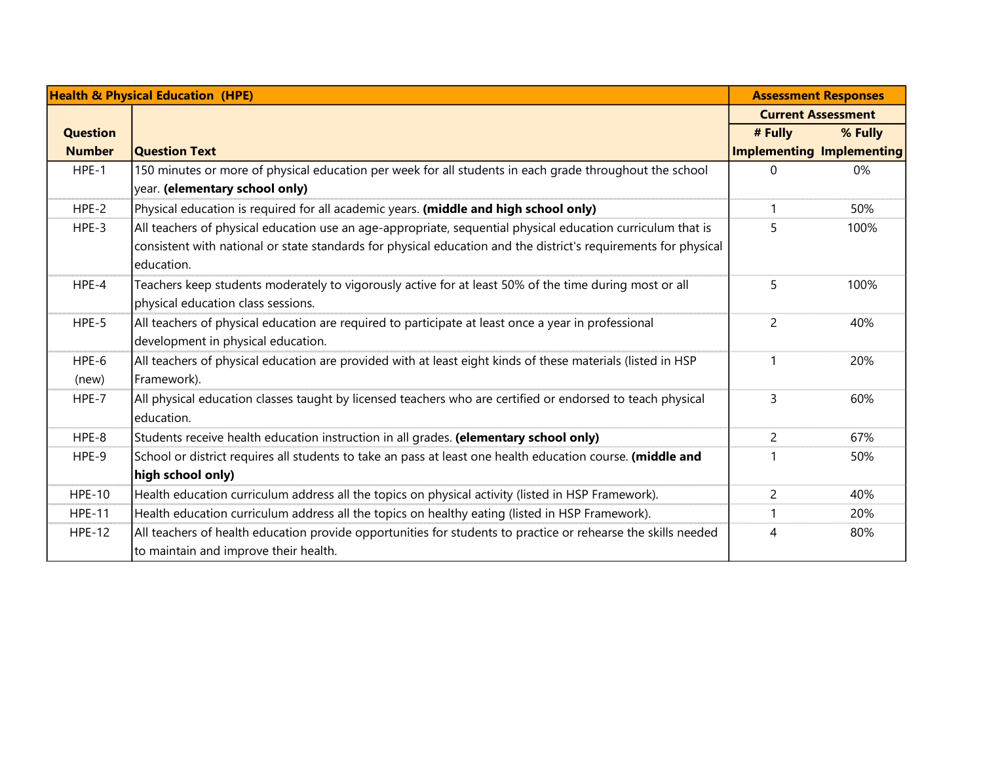|                 | <b>Health &amp; Physical Education (HPE)</b>                                                                                                           |                | <b>Assessment Responses</b>      |
|-----------------|--------------------------------------------------------------------------------------------------------------------------------------------------------|----------------|----------------------------------|
|                 |                                                                                                                                                        |                | <b>Current Assessment</b>        |
| <b>Question</b> |                                                                                                                                                        | # Fully        | % Fully                          |
| <b>Number</b>   | <b>Question Text</b>                                                                                                                                   |                | <b>Implementing Implementing</b> |
| HPE-1           | 150 minutes or more of physical education per week for all students in each grade throughout the school<br>year. (elementary school only)              | 0              | 0%                               |
| HPE-2           | Physical education is required for all academic years. (middle and high school only)                                                                   |                | 50%                              |
| HPE-3           | All teachers of physical education use an age-appropriate, sequential physical education curriculum that is                                            | 5              | 100%                             |
|                 | consistent with national or state standards for physical education and the district's requirements for physical<br>education.                          |                |                                  |
| HPE-4           | Teachers keep students moderately to vigorously active for at least 50% of the time during most or all                                                 | 5              | 100%                             |
|                 | physical education class sessions.                                                                                                                     |                |                                  |
| HPE-5           | All teachers of physical education are required to participate at least once a year in professional<br>development in physical education.              | $\overline{c}$ | 40%                              |
| $HPE-6$         | All teachers of physical education are provided with at least eight kinds of these materials (listed in HSP                                            |                | 20%                              |
| (new)           | Framework).                                                                                                                                            |                |                                  |
| HPE-7           | All physical education classes taught by licensed teachers who are certified or endorsed to teach physical<br>education.                               | 3              | 60%                              |
| HPE-8           | Students receive health education instruction in all grades. (elementary school only)                                                                  | $\overline{2}$ | 67%                              |
| HPE-9           | School or district requires all students to take an pass at least one health education course. (middle and                                             |                | 50%                              |
|                 | high school only)                                                                                                                                      |                |                                  |
| <b>HPE-10</b>   | Health education curriculum address all the topics on physical activity (listed in HSP Framework).                                                     | 2              | 40%                              |
| <b>HPE-11</b>   | Health education curriculum address all the topics on healthy eating (listed in HSP Framework).                                                        |                | 20%                              |
| <b>HPE-12</b>   | All teachers of health education provide opportunities for students to practice or rehearse the skills needed<br>to maintain and improve their health. | 4              | 80%                              |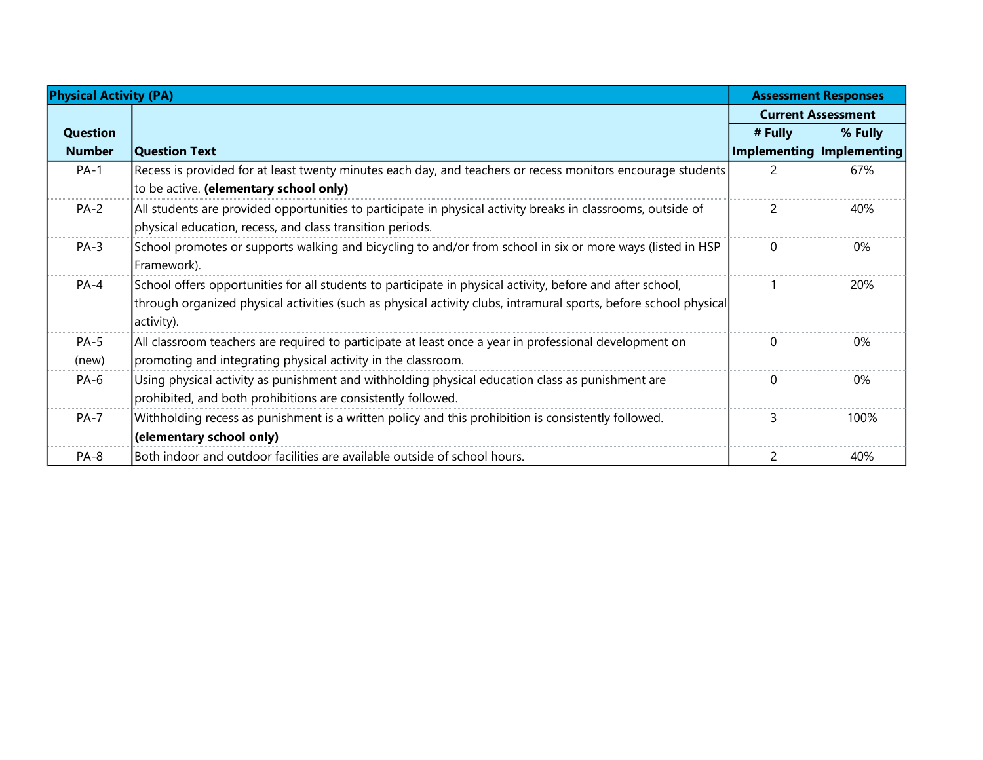| <b>Physical Activity (PA)</b> |                                                                                                                   |                | <b>Assessment Responses</b>      |  |
|-------------------------------|-------------------------------------------------------------------------------------------------------------------|----------------|----------------------------------|--|
|                               |                                                                                                                   |                | <b>Current Assessment</b>        |  |
| Question                      |                                                                                                                   | # Fully        | % Fully                          |  |
| <b>Number</b>                 | Question Text                                                                                                     |                | <b>Implementing Implementing</b> |  |
| $PA-1$                        | Recess is provided for at least twenty minutes each day, and teachers or recess monitors encourage students       | $\overline{2}$ | 67%                              |  |
|                               | to be active. (elementary school only)                                                                            |                |                                  |  |
| $PA-2$                        | All students are provided opportunities to participate in physical activity breaks in classrooms, outside of      | $\overline{2}$ | 40%                              |  |
|                               | physical education, recess, and class transition periods.                                                         |                |                                  |  |
| $PA-3$                        | School promotes or supports walking and bicycling to and/or from school in six or more ways (listed in HSP        | $\Omega$       | 0%                               |  |
|                               | Framework).                                                                                                       |                |                                  |  |
| $PA-4$                        | School offers opportunities for all students to participate in physical activity, before and after school,        |                | 20%                              |  |
|                               | through organized physical activities (such as physical activity clubs, intramural sports, before school physical |                |                                  |  |
|                               | activity).                                                                                                        |                |                                  |  |
| $PA-5$                        | All classroom teachers are required to participate at least once a year in professional development on            | $\Omega$       | 0%                               |  |
| (new)                         | promoting and integrating physical activity in the classroom.                                                     |                |                                  |  |
| PA-6                          | Using physical activity as punishment and withholding physical education class as punishment are                  | 0              | 0%                               |  |
|                               | prohibited, and both prohibitions are consistently followed.                                                      |                |                                  |  |
| $PA-7$                        | Withholding recess as punishment is a written policy and this prohibition is consistently followed.               | 3              | 100%                             |  |
|                               | (elementary school only)                                                                                          |                |                                  |  |
| PA-8                          | Both indoor and outdoor facilities are available outside of school hours.                                         | $\mathcal{P}$  | 40%                              |  |